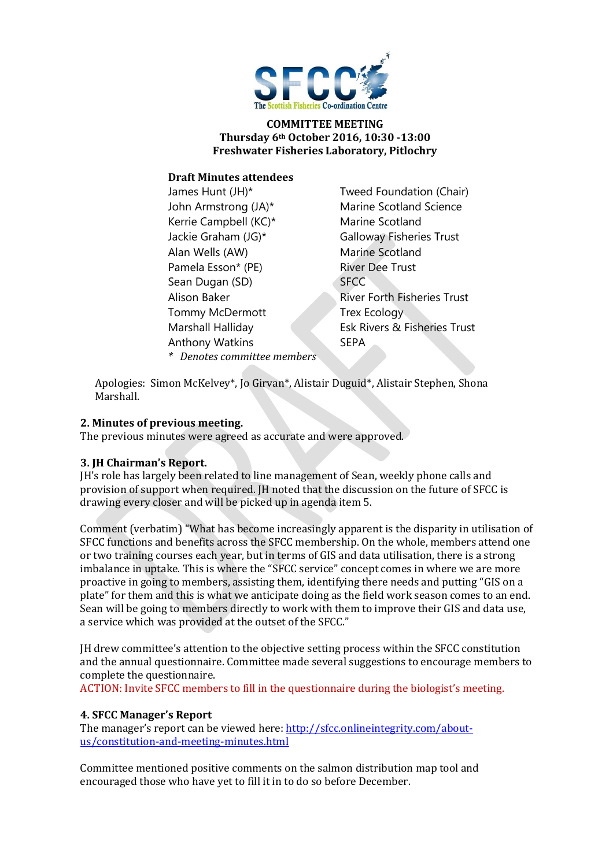

### **COMMITTEE MEETING Thursday 6th October 2016, 10:30 -13:00 Freshwater Fisheries Laboratory, Pitlochry**

## **Draft Minutes attendees**

| James Hunt (JH)*            | Tweed Foundation (Chair)           |
|-----------------------------|------------------------------------|
| John Armstrong (JA)*        | <b>Marine Scotland Science</b>     |
| Kerrie Campbell (KC)*       | Marine Scotland                    |
| Jackie Graham (JG)*         | <b>Galloway Fisheries Trust</b>    |
| Alan Wells (AW)             | Marine Scotland                    |
| Pamela Esson* (PE)          | <b>River Dee Trust</b>             |
| Sean Dugan (SD)             | <b>SFCC</b>                        |
| Alison Baker                | <b>River Forth Fisheries Trust</b> |
| Tommy McDermott             | <b>Trex Ecology</b>                |
| Marshall Halliday           | Esk Rivers & Fisheries Trust       |
| <b>Anthony Watkins</b>      | <b>SEPA</b>                        |
| * Denotes committee members |                                    |
|                             |                                    |

Apologies: Simon McKelvey\*, Jo Girvan\*, Alistair Duguid\*, Alistair Stephen, Shona Marshall.

### **2. Minutes of previous meeting.**

The previous minutes were agreed as accurate and were approved.

#### **3. JH Chairman's Report.**

JH's role has largely been related to line management of Sean, weekly phone calls and provision of support when required. JH noted that the discussion on the future of SFCC is drawing every closer and will be picked up in agenda item 5.

Comment (verbatim) "What has become increasingly apparent is the disparity in utilisation of SFCC functions and benefits across the SFCC membership. On the whole, members attend one or two training courses each year, but in terms of GIS and data utilisation, there is a strong imbalance in uptake. This is where the "SFCC service" concept comes in where we are more proactive in going to members, assisting them, identifying there needs and putting "GIS on a plate" for them and this is what we anticipate doing as the field work season comes to an end. Sean will be going to members directly to work with them to improve their GIS and data use, a service which was provided at the outset of the SFCC."

JH drew committee's attention to the objective setting process within the SFCC constitution and the annual questionnaire. Committee made several suggestions to encourage members to complete the questionnaire.

ACTION: Invite SFCC members to fill in the questionnaire during the biologist's meeting.

#### **4. SFCC Manager's Report**

The manager's report can be viewed here: [http://sfcc.onlineintegrity.com/about](http://sfcc.onlineintegrity.com/about-us/constitution-and-meeting-minutes.html)[us/constitution-and-meeting-minutes.html](http://sfcc.onlineintegrity.com/about-us/constitution-and-meeting-minutes.html)

Committee mentioned positive comments on the salmon distribution map tool and encouraged those who have yet to fill it in to do so before December.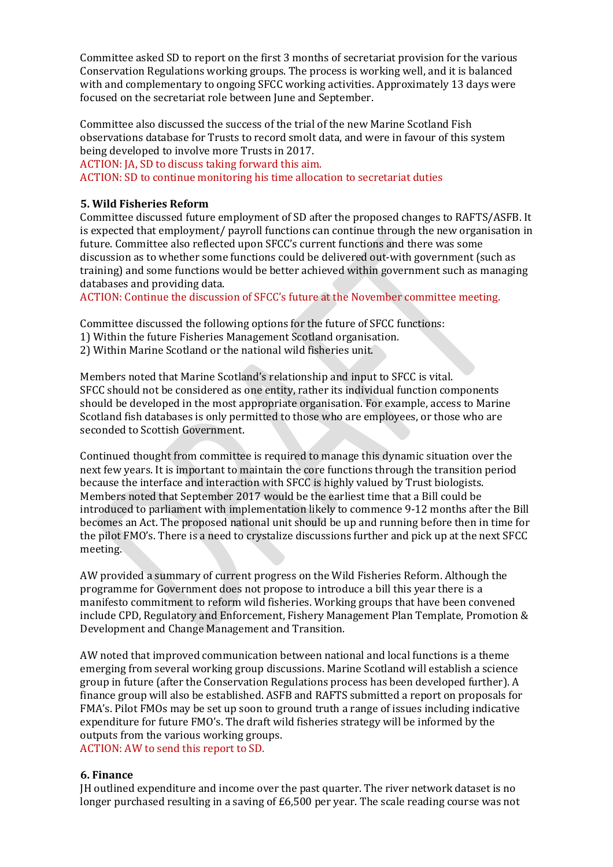Committee asked SD to report on the first 3 months of secretariat provision for the various Conservation Regulations working groups. The process is working well, and it is balanced with and complementary to ongoing SFCC working activities. Approximately 13 days were focused on the secretariat role between June and September.

Committee also discussed the success of the trial of the new Marine Scotland Fish observations database for Trusts to record smolt data, and were in favour of this system being developed to involve more Trusts in 2017.

ACTION: JA, SD to discuss taking forward this aim.

ACTION: SD to continue monitoring his time allocation to secretariat duties

### **5. Wild Fisheries Reform**

Committee discussed future employment of SD after the proposed changes to RAFTS/ASFB. It is expected that employment/ payroll functions can continue through the new organisation in future. Committee also reflected upon SFCC's current functions and there was some discussion as to whether some functions could be delivered out-with government (such as training) and some functions would be better achieved within government such as managing databases and providing data.

ACTION: Continue the discussion of SFCC's future at the November committee meeting.

Committee discussed the following options for the future of SFCC functions:

1) Within the future Fisheries Management Scotland organisation.

2) Within Marine Scotland or the national wild fisheries unit.

Members noted that Marine Scotland's relationship and input to SFCC is vital. SFCC should not be considered as one entity, rather its individual function components should be developed in the most appropriate organisation. For example, access to Marine Scotland fish databases is only permitted to those who are employees, or those who are seconded to Scottish Government.

Continued thought from committee is required to manage this dynamic situation over the next few years. It is important to maintain the core functions through the transition period because the interface and interaction with SFCC is highly valued by Trust biologists. Members noted that September 2017 would be the earliest time that a Bill could be introduced to parliament with implementation likely to commence 9-12 months after the Bill becomes an Act. The proposed national unit should be up and running before then in time for the pilot FMO's. There is a need to crystalize discussions further and pick up at the next SFCC meeting.

AW provided a summary of current progress on the Wild Fisheries Reform. Although the programme for Government does not propose to introduce a bill this year there is a manifesto commitment to reform wild fisheries. Working groups that have been convened include CPD, Regulatory and Enforcement, Fishery Management Plan Template, Promotion & Development and Change Management and Transition.

AW noted that improved communication between national and local functions is a theme emerging from several working group discussions. Marine Scotland will establish a science group in future (after the Conservation Regulations process has been developed further). A finance group will also be established. ASFB and RAFTS submitted a report on proposals for FMA's. Pilot FMOs may be set up soon to ground truth a range of issues including indicative expenditure for future FMO's. The draft wild fisheries strategy will be informed by the outputs from the various working groups. ACTION: AW to send this report to SD.

## **6. Finance**

JH outlined expenditure and income over the past quarter. The river network dataset is no longer purchased resulting in a saving of £6,500 per year. The scale reading course was not